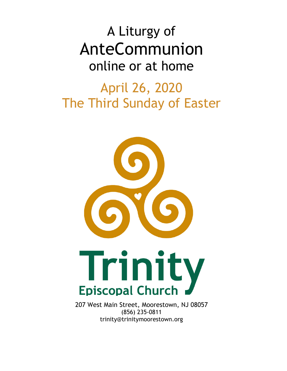# A Liturgy of AnteCommunion online or at home

# April 26, 2020 The Third Sunday of Easter



207 West Main Street, Moorestown, NJ 08057 (856) 235-0811 trinity@trinitymoorestown.org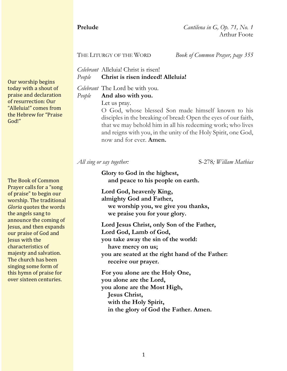**Prelude** *Cantilena in G, Op. 71, No. 1* Arthur Foote

THE LITURGY OF THE WORD *Book of Common Prayer, page 355*

*Celebrant* Alleluia! Christ is risen! *People* **Christ is risen indeed! Alleluia!**

*Celebrant* The Lord be with you. *People* **And also with you.**

Let us pray.

O God, whose blessed Son made himself known to his disciples in the breaking of bread: Open the eyes of our faith, that we may behold him in all his redeeming work; who lives and reigns with you, in the unity of the Holy Spirit, one God, now and for ever. **Amen.**

*All sing or say together:* S-278*; Willam Mathias*

**Glory to God in the highest, and peace to his people on earth.**

**Lord God, heavenly King, almighty God and Father, we worship you, we give you thanks, we praise you for your glory.**

**Lord Jesus Christ, only Son of the Father, Lord God, Lamb of God, you take away the sin of the world: have mercy on us; you are seated at the right hand of the Father: receive our prayer.**

**For you alone are the Holy One, you alone are the Lord, you alone are the Most High, Jesus Christ, with the Holy Spirit, in the glory of God the Father. Amen.**

Our worship begins today with a shout of praise and declaration of resurrection: Our "Alleluia!" comes from the Hebrew for "Praise" God!"

The Book of Common Prayer calls for a "song" of praise" to begin our worship. The traditional *Gloria* quotes the words the angels sang to announce the coming of Jesus, and then expands our praise of God and **Jesus** with the characteristics of majesty and salvation. The church has been singing some form of this hymn of praise for over sixteen centuries.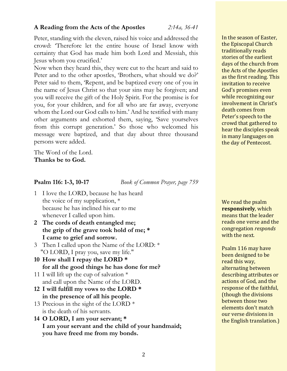#### **A Reading from the Acts of the Apostles** *2:14a, 36-41*

Peter, standing with the eleven, raised his voice and addressed the crowd: 'Therefore let the entire house of Israel know with certainty that God has made him both Lord and Messiah, this Jesus whom you crucified.'

Now when they heard this, they were cut to the heart and said to Peter and to the other apostles, 'Brothers, what should we do?' Peter said to them, 'Repent, and be baptized every one of you in the name of Jesus Christ so that your sins may be forgiven; and you will receive the gift of the Holy Spirit. For the promise is for you, for your children, and for all who are far away, everyone whom the Lord our God calls to him.' And he testified with many other arguments and exhorted them, saying, 'Save yourselves from this corrupt generation.' So those who welcomed his message were baptized, and that day about three thousand persons were added.

The Word of the Lord. **Thanks be to God.**

**Psalm 116: 1-3, 10-17** *Book of Common Prayer, page 759*

- 1 I love the LORD, because he has heard the voice of my supplication, \* because he has inclined his ear to me whenever I called upon him.
- **2 The cords of death entangled me; the grip of the grave took hold of me; \* I came to grief and sorrow.**
- 3 Then I called upon the Name of the LORD: \* "O LORD, I pray you, save my life."
- **10 How shall I repay the LORD \* for all the good things he has done for me?**
- 11 I will lift up the cup of salvation  $*$ and call upon the Name of the LORD.
- **12 I will fulfill my vows to the LORD \* in the presence of all his people.**
- 13 Precious in the sight of the LORD \* is the death of his servants.
- **14 O LORD, I am your servant; \* I am your servant and the child of your handmaid; you have freed me from my bonds.**

In the season of Easter, the Episcopal Church traditionally reads stories of the earliest days of the church from the Acts of the Apostles as the first reading. This invitation to receive God's promises even while recognizing our involvement in Christ's death comes from Peter's speech to the crowd that gathered to hear the disciples speak in many languages on the day of Pentecost.

We read the psalm **responsively**, which means that the leader reads one verse and the congregation *responds* with the next.

Psalm 116 may have been designed to be read this way, alternating between describing attributes or actions of God, and the response of the faithful, (though the divisions between those two elements don't match our verse divisions in the English translation.)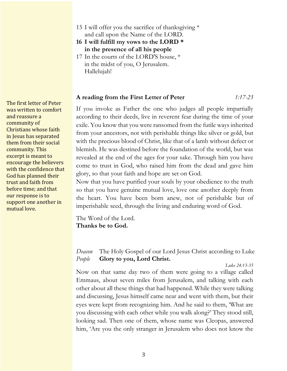- 15 I will offer you the sacrifice of thanksgiving \* and call upon the Name of the LORD.
- **16 I will fulfill my vows to the LORD \* in the presence of all his people**
- 17 In the courts of the LORD'S house, \* in the midst of you, O Jerusalem. Hallelujah!

## **A reading from the First Letter of Peter** *1:17-23*

If you invoke as Father the one who judges all people impartially according to their deeds, live in reverent fear during the time of your exile. You know that you were ransomed from the futile ways inherited from your ancestors, not with perishable things like silver or gold, but with the precious blood of Christ, like that of a lamb without defect or blemish. He was destined before the foundation of the world, but was revealed at the end of the ages for your sake. Through him you have come to trust in God, who raised him from the dead and gave him glory, so that your faith and hope are set on God.

Now that you have purified your souls by your obedience to the truth so that you have genuine mutual love, love one another deeply from the heart. You have been born anew, not of perishable but of imperishable seed, through the living and enduring word of God.

The Word of the Lord. **Thanks be to God.**

*Deacon* The Holy Gospel of our Lord Jesus Christ according to Luke *People* **Glory to you, Lord Christ.**

#### *Luke 24:13-35*

Now on that same day two of them were going to a village called Emmaus, about seven miles from Jerusalem, and talking with each other about all these things that had happened. While they were talking and discussing, Jesus himself came near and went with them, but their eyes were kept from recognizing him. And he said to them, 'What are you discussing with each other while you walk along?' They stood still, looking sad. Then one of them, whose name was Cleopas, answered him, 'Are you the only stranger in Jerusalem who does not know the

The first letter of Peter was written to comfort and reassure a community of Christians whose faith in Jesus has separated them from their social community. This excerpt is meant to encourage the believers with the confidence that God has planned their trust and faith from before time; and that our response is to support one another in mutual love.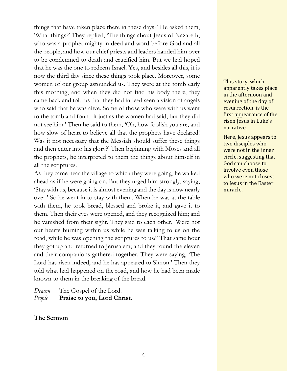things that have taken place there in these days?' He asked them, 'What things?' They replied, 'The things about Jesus of Nazareth, who was a prophet mighty in deed and word before God and all the people, and how our chief priests and leaders handed him over to be condemned to death and crucified him. But we had hoped that he was the one to redeem Israel. Yes, and besides all this, it is now the third day since these things took place. Moreover, some women of our group astounded us. They were at the tomb early this morning, and when they did not find his body there, they came back and told us that they had indeed seen a vision of angels who said that he was alive. Some of those who were with us went to the tomb and found it just as the women had said; but they did not see him.' Then he said to them, 'Oh, how foolish you are, and how slow of heart to believe all that the prophets have declared! Was it not necessary that the Messiah should suffer these things and then enter into his glory?' Then beginning with Moses and all the prophets, he interpreted to them the things about himself in all the scriptures.

As they came near the village to which they were going, he walked ahead as if he were going on. But they urged him strongly, saying, 'Stay with us, because it is almost evening and the day is now nearly over.' So he went in to stay with them. When he was at the table with them, he took bread, blessed and broke it, and gave it to them. Then their eyes were opened, and they recognized him; and he vanished from their sight. They said to each other, 'Were not our hearts burning within us while he was talking to us on the road, while he was opening the scriptures to us?' That same hour they got up and returned to Jerusalem; and they found the eleven and their companions gathered together. They were saying, 'The Lord has risen indeed, and he has appeared to Simon!' Then they told what had happened on the road, and how he had been made known to them in the breaking of the bread.

*Deacon* The Gospel of the Lord. *People* **Praise to you, Lord Christ.**

#### **The Sermon**

This story, which apparently takes place in the afternoon and evening of the day of resurrection, is the first appearance of the risen Jesus in Luke's narrative. 

Here, Jesus appears to two disciples who were not in the inner circle, suggesting that God can choose to involve even those who were not closest to Jesus in the Easter miracle.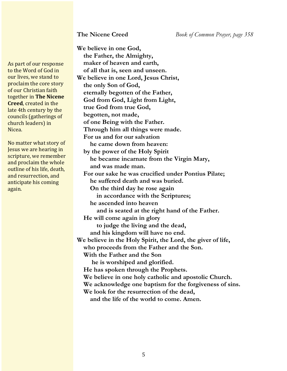As part of our response to the Word of God in our lives, we stand to proclaim the core story of our Christian faith **together in The Nicene Creed**, created in the late 4th century by the councils (gatherings of church leaders) in Nicea. 

No matter what story of Jesus we are hearing in scripture, we remember and proclaim the whole outline of his life, death, and resurrection, and anticipate his coming again.

**We believe in one God, the Father, the Almighty, maker of heaven and earth, of all that is, seen and unseen. We believe in one Lord, Jesus Christ, the only Son of God, eternally begotten of the Father, God from God, Light from Light, true God from true God, begotten, not made, of one Being with the Father. Through him all things were made. For us and for our salvation he came down from heaven: by the power of the Holy Spirit he became incarnate from the Virgin Mary, and was made man. For our sake he was crucified under Pontius Pilate; he suffered death and was buried. On the third day he rose again in accordance with the Scriptures; he ascended into heaven and is seated at the right hand of the Father. He will come again in glory to judge the living and the dead, and his kingdom will have no end. We believe in the Holy Spirit, the Lord, the giver of life, who proceeds from the Father and the Son. With the Father and the Son he is worshiped and glorified. He has spoken through the Prophets. We believe in one holy catholic and apostolic Church. We acknowledge one baptism for the forgiveness of sins. We look for the resurrection of the dead, and the life of the world to come. Amen.**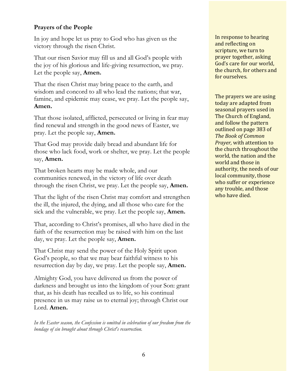## **Prayers of the People**

In joy and hope let us pray to God who has given us the victory through the risen Christ.

That our risen Savior may fill us and all God's people with the joy of his glorious and life-giving resurrection, we pray. Let the people say, **Amen.**

That the risen Christ may bring peace to the earth, and wisdom and concord to all who lead the nations; that war, famine, and epidemic may cease, we pray. Let the people say, **Amen.**

That those isolated, afflicted, persecuted or living in fear may find renewal and strength in the good news of Easter, we pray. Let the people say, **Amen.**

That God may provide daily bread and abundant life for those who lack food, work or shelter, we pray. Let the people say, **Amen.**

That broken hearts may be made whole, and our communities renewed, in the victory of life over death through the risen Christ, we pray. Let the people say, **Amen.**

That the light of the risen Christ may comfort and strengthen the ill, the injured, the dying, and all those who care for the sick and the vulnerable, we pray. Let the people say, **Amen.**

That, according to Christ's promises, all who have died in the faith of the resurrection may be raised with him on the last day, we pray. Let the people say, **Amen.**

That Christ may send the power of the Holy Spirit upon God's people, so that we may bear faithful witness to his resurrection day by day, we pray. Let the people say, **Amen.**

Almighty God, you have delivered us from the power of darkness and brought us into the kingdom of your Son: grant that, as his death has recalled us to life, so his continual presence in us may raise us to eternal joy; through Christ our Lord. **Amen.**

*In the Easter season, the Confession is omitted in celebration of our freedom from the bondage of sin brought about through Christ's resurrection.*

In response to hearing and reflecting on scripture, we turn to prayer together, asking God's care for our world, the church, for others and for ourselves.

The prayers we are using today are adapted from seasonal prayers used in The Church of England, and follow the pattern outlined on page 383 of **The Book of Common** *Prayer,* with attention to the church throughout the world, the nation and the world and those in authority, the needs of our local community, those who suffer or experience any trouble, and those who have died.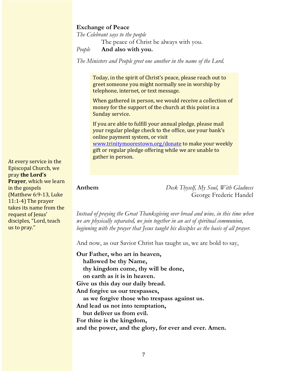#### **Exchange of Peace**

*The Celebrant says to the people* The peace of Christ be always with you.

*People* **And also with you.**

*The Ministers and People greet one another in the name of the Lord.*

Today, in the spirit of Christ's peace, please reach out to greet someone you might normally see in worship by telephone, internet, or text message.

When gathered in person, we would receive a collection of money for the support of the church at this point in a Sunday service.

If you are able to fulfill your annual pledge, please mail your regular pledge check to the office, use your bank's online payment system, or visit

www.trinitymoorestown.org/donate to make your weekly gift or regular pledge offering while we are unable to

**Anthem** *Deck Thyself, My Soul, With Gladness* George Frederic Handel

*Instead of praying the Great Thanksgiving over bread and wine, in this time when we are physically separated, we join together in an act of spiritual communion, beginning with the prayer that Jesus taught his disciples as the basis of all prayer.*

And now, as our Savior Christ has taught us, we are bold to say,

**Our Father, who art in heaven, hallowed be thy Name, thy kingdom come, thy will be done, on earth as it is in heaven. Give us this day our daily bread. And forgive us our trespasses, as we forgive those who trespass against us. And lead us not into temptation, but deliver us from evil. For thine is the kingdom, and the power, and the glory, for ever and ever. Amen.**

At every service in the **Example 20** ather in person. Episcopal Church, we pray the Lord's **Prayer**, which we learn in the gospels (Matthew 6:9-13, Luke  $11:1-4$ ) The prayer takes its name from the request of Jesus' disciples, "Lord, teach us to pray."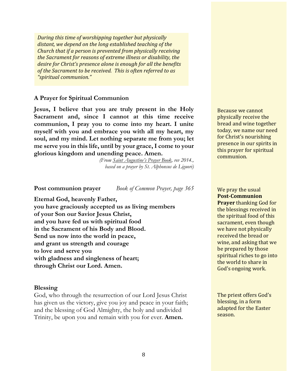*During this time of worshipping together but physically* distant, we depend on the long established teaching of the *Church that if a person is prevented from physically receiving the Sacrament for reasons of extreme illness or disability, the desire for Christ's presence alone is enough for all the benefits of the Sacrament to be received. This is often referred to as "spiritual communion."*

### **A Prayer for Spiritual Communion**

**Jesus, I believe that you are truly present in the Holy Sacrament and, since I cannot at this time receive communion, I pray you to come into my heart. I unite myself with you and embrace you with all my heart, my soul, and my mind. Let nothing separate me from you; let me serve you in this life, until by your grace, I come to your glorious kingdom and unending peace. Amen.**

> *(From Saint Augustine's Prayer Book, rev 2014., based on a prayer by St. Alphonsus de Liguori)*

**Post communion prayer** *Book of Common Prayer, page 365*

**Eternal God, heavenly Father, you have graciously accepted us as living members of your Son our Savior Jesus Christ, and you have fed us with spiritual food in the Sacrament of his Body and Blood. Send us now into the world in peace, and grant us strength and courage to love and serve you with gladness and singleness of heart; through Christ our Lord. Amen.**

#### **Blessing**

God, who through the resurrection of our Lord Jesus Christ has given us the victory, give you joy and peace in your faith; and the blessing of God Almighty, the holy and undivided Trinity, be upon you and remain with you for ever. **Amen.**

Because we cannot physically receive the bread and wine together today, we name our need for Christ's nourishing presence in our spirits in this prayer for spiritual communion.

We pray the usual **Post-Communion Prayer** thanking God for the blessings received in the spiritual food of this sacrament, even though we have not physically received the bread or wine, and asking that we be prepared by those spiritual riches to go into the world to share in God's ongoing work.

The priest offers God's blessing, in a form adapted for the Easter season.